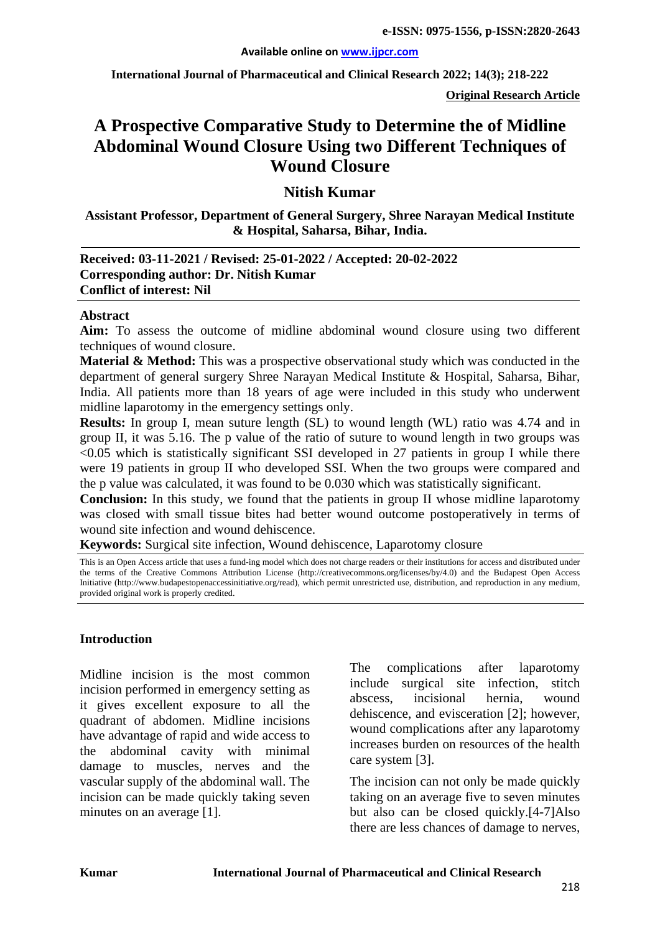**International Journal of Pharmaceutical and Clinical Research 2022; 14(3); 218-222**

**Original Research Article**

# **A Prospective Comparative Study to Determine the of Midline Abdominal Wound Closure Using two Different Techniques of Wound Closure**

#### **Nitish Kumar**

**Assistant Professor, Department of General Surgery, Shree Narayan Medical Institute & Hospital, Saharsa, Bihar, India.**

#### **Received: 03-11-2021 / Revised: 25-01-2022 / Accepted: 20-02-2022 Corresponding author: Dr. Nitish Kumar Conflict of interest: Nil**

#### **Abstract**

**Aim:** To assess the outcome of midline abdominal wound closure using two different techniques of wound closure.

**Material & Method:** This was a prospective observational study which was conducted in the department of general surgery Shree Narayan Medical Institute & Hospital, Saharsa, Bihar, India. All patients more than 18 years of age were included in this study who underwent midline laparotomy in the emergency settings only.

**Results:** In group I, mean suture length (SL) to wound length (WL) ratio was 4.74 and in group II, it was 5.16. The p value of the ratio of suture to wound length in two groups was  $\leq 0.05$  which is statistically significant SSI developed in 27 patients in group I while there were 19 patients in group II who developed SSI. When the two groups were compared and the p value was calculated, it was found to be 0.030 which was statistically significant.

**Conclusion:** In this study, we found that the patients in group II whose midline laparotomy was closed with small tissue bites had better wound outcome postoperatively in terms of wound site infection and wound dehiscence.

**Keywords:** Surgical site infection, Wound dehiscence, Laparotomy closure

This is an Open Access article that uses a fund-ing model which does not charge readers or their institutions for access and distributed under the terms of the Creative Commons Attribution License (http://creativecommons.org/licenses/by/4.0) and the Budapest Open Access Initiative (http://www.budapestopenaccessinitiative.org/read), which permit unrestricted use, distribution, and reproduction in any medium, provided original work is properly credited.

#### **Introduction**

Midline incision is the most common incision performed in emergency setting as it gives excellent exposure to all the quadrant of abdomen. Midline incisions have advantage of rapid and wide access to the abdominal cavity with minimal damage to muscles, nerves and the vascular supply of the abdominal wall. The incision can be made quickly taking seven minutes on an average [1].

The complications after laparotomy include surgical site infection, stitch abscess, incisional hernia, wound dehiscence, and evisceration [2]; however, wound complications after any laparotomy increases burden on resources of the health care system [3].

The incision can not only be made quickly taking on an average five to seven minutes but also can be closed quickly.[4-7]Also there are less chances of damage to nerves,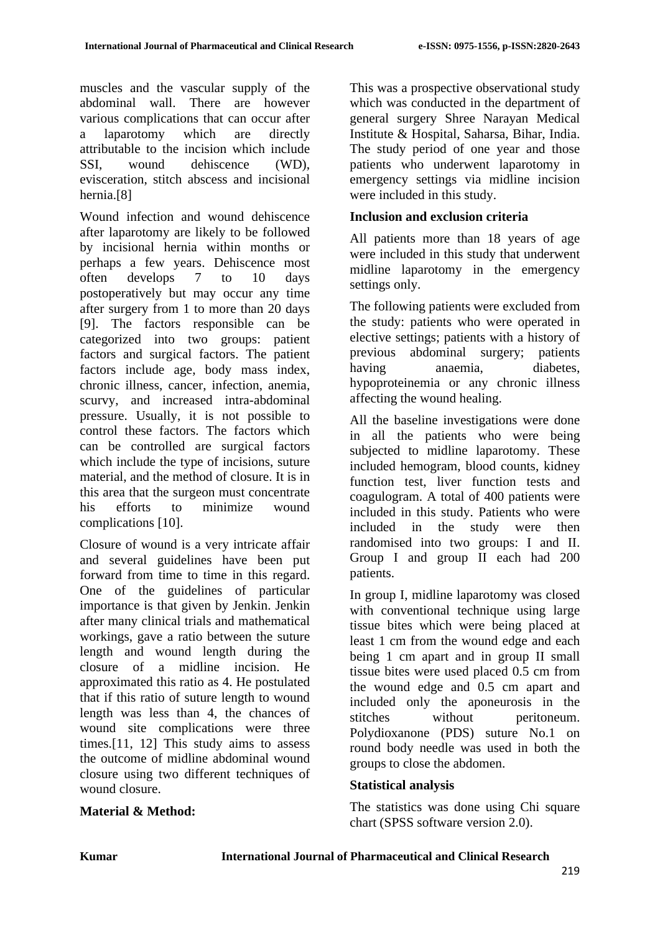muscles and the vascular supply of the abdominal wall. There are however various complications that can occur after a laparotomy which are directly attributable to the incision which include SSI, wound dehiscence (WD), evisceration, stitch abscess and incisional hernia.[8]

Wound infection and wound dehiscence after laparotomy are likely to be followed by incisional hernia within months or perhaps a few years. Dehiscence most often develops 7 to 10 days postoperatively but may occur any time after surgery from 1 to more than 20 days [9]. The factors responsible can be categorized into two groups: patient factors and surgical factors. The patient factors include age, body mass index, chronic illness, cancer, infection, anemia, scurvy, and increased intra-abdominal pressure. Usually, it is not possible to control these factors. The factors which can be controlled are surgical factors which include the type of incisions, suture material, and the method of closure. It is in this area that the surgeon must concentrate his efforts to minimize wound complications [10].

Closure of wound is a very intricate affair and several guidelines have been put forward from time to time in this regard. One of the guidelines of particular importance is that given by Jenkin. Jenkin after many clinical trials and mathematical workings, gave a ratio between the suture length and wound length during the closure of a midline incision. He approximated this ratio as 4. He postulated that if this ratio of suture length to wound length was less than 4, the chances of wound site complications were three times.[11, 12] This study aims to assess the outcome of midline abdominal wound closure using two different techniques of wound closure.

This was a prospective observational study which was conducted in the department of general surgery Shree Narayan Medical Institute & Hospital, Saharsa, Bihar, India. The study period of one year and those patients who underwent laparotomy in emergency settings via midline incision were included in this study.

## **Inclusion and exclusion criteria**

All patients more than 18 years of age were included in this study that underwent midline laparotomy in the emergency settings only.

The following patients were excluded from the study: patients who were operated in elective settings; patients with a history of previous abdominal surgery; patients having anaemia, diabetes, hypoproteinemia or any chronic illness affecting the wound healing.

All the baseline investigations were done in all the patients who were being subjected to midline laparotomy. These included hemogram, blood counts, kidney function test, liver function tests and coagulogram. A total of 400 patients were included in this study. Patients who were included in the study were then randomised into two groups: I and II. Group I and group II each had 200 patients.

In group I, midline laparotomy was closed with conventional technique using large tissue bites which were being placed at least 1 cm from the wound edge and each being 1 cm apart and in group II small tissue bites were used placed 0.5 cm from the wound edge and 0.5 cm apart and included only the aponeurosis in the stitches without peritoneum. Polydioxanone (PDS) suture No.1 on round body needle was used in both the groups to close the abdomen.

## **Statistical analysis**

The statistics was done using Chi square chart (SPSS software version 2.0).

#### **Material & Method:**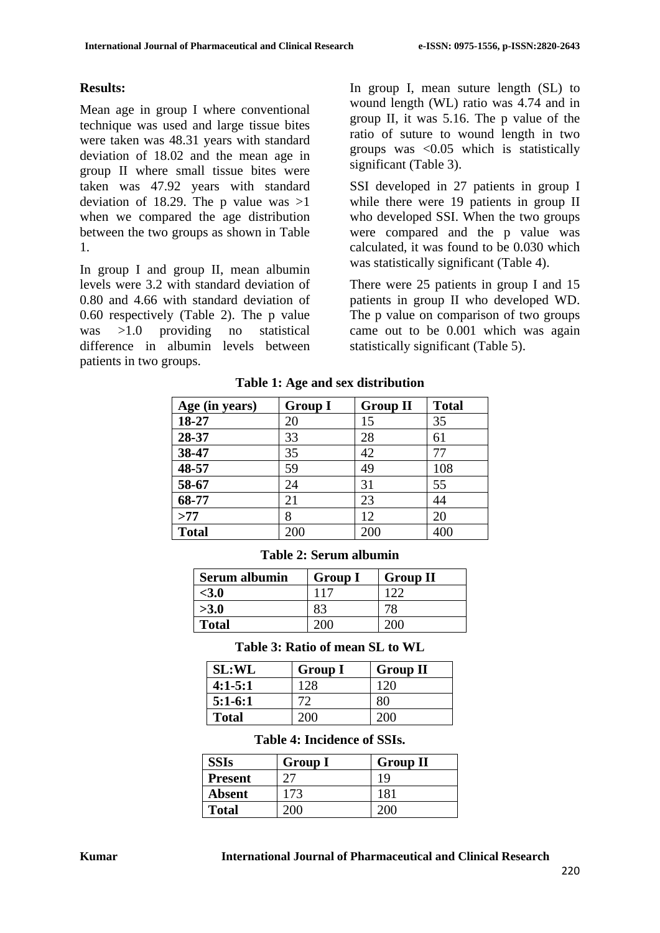#### **Results:**

Mean age in group I where conventional technique was used and large tissue bites were taken was 48.31 years with standard deviation of 18.02 and the mean age in group II where small tissue bites were taken was 47.92 years with standard deviation of 18.29. The p value was  $>1$ when we compared the age distribution between the two groups as shown in Table 1.

In group I and group II, mean albumin levels were 3.2 with standard deviation of 0.80 and 4.66 with standard deviation of 0.60 respectively (Table 2). The p value was >1.0 providing no statistical difference in albumin levels between patients in two groups.

In group I, mean suture length (SL) to wound length (WL) ratio was 4.74 and in group II, it was 5.16. The p value of the ratio of suture to wound length in two groups was <0.05 which is statistically significant (Table 3).

SSI developed in 27 patients in group I while there were 19 patients in group II who developed SSI. When the two groups were compared and the p value was calculated, it was found to be 0.030 which was statistically significant (Table 4).

There were 25 patients in group I and 15 patients in group II who developed WD. The p value on comparison of two groups came out to be 0.001 which was again statistically significant (Table 5).

| Age (in years) | <b>Group I</b> | <b>Group II</b> | <b>Total</b> |
|----------------|----------------|-----------------|--------------|
| 18-27          | 20             | 15              | 35           |
| 28-37          | 33             | 28              | 61           |
| 38-47          | 35             | 42              | 77           |
| 48-57          | 59             | 49              | 108          |
| 58-67          | 24             | 31              | 55           |
| 68-77          | 21             | 23              | 44           |
| >77            | 8              | 12              | 20           |
| <b>Total</b>   | 200            | 200             | 400          |

**Table 1: Age and sex distribution**

|  |  | Table 2: Serum albumin |
|--|--|------------------------|
|--|--|------------------------|

| <b>Serum albumin</b> | <b>Group I</b>  | <b>Group II</b> |
|----------------------|-----------------|-----------------|
| <3.0                 | 11 <sup>7</sup> |                 |
| >3.0                 |                 |                 |
| <b>Total</b>         |                 |                 |

**Table 3: Ratio of mean SL to WL**

| <b>SL:WL</b> | <b>Group I</b> | <b>Group II</b> |
|--------------|----------------|-----------------|
| $4:1-5:1$    | 128            | 120             |
| $5:1-6:1$    | 72             | 80              |
| <b>Total</b> | 200-           | 200             |

### **Table 4: Incidence of SSIs.**

| <b>SSIs</b>    | <b>Group I</b> | <b>Group II</b> |
|----------------|----------------|-----------------|
| <b>Present</b> |                |                 |
| <b>Absent</b>  | 173            | 181             |
| <b>Total</b>   |                |                 |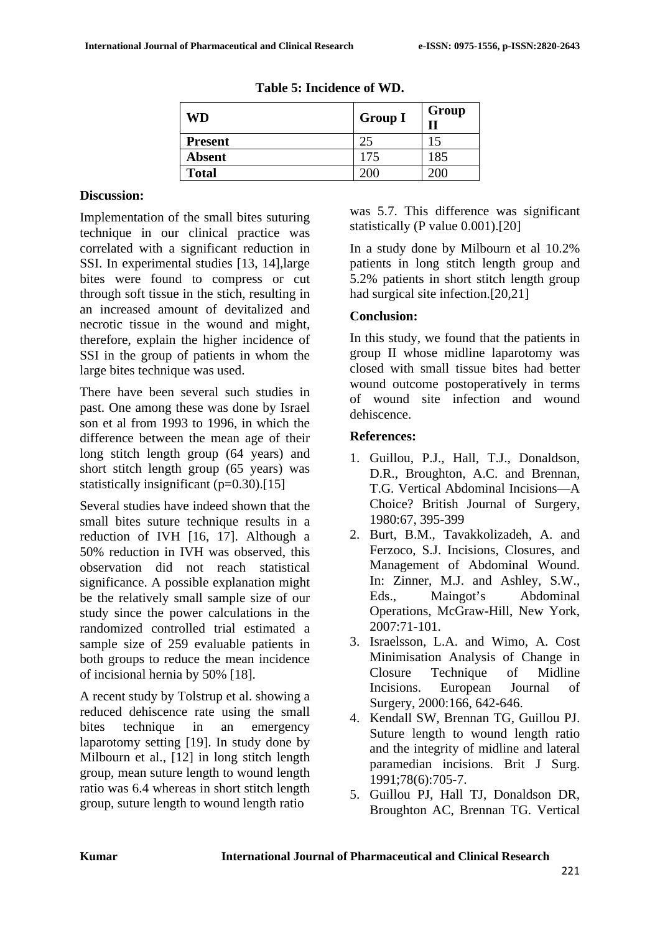| <b>WD</b>      | <b>Group I</b> | Group |
|----------------|----------------|-------|
| <b>Present</b> | 25             | 15    |
| <b>Absent</b>  | 175            | 185   |
| <b>Total</b>   | 200            | 200   |

**Table 5: Incidence of WD.**

### **Discussion:**

Implementation of the small bites suturing technique in our clinical practice was correlated with a significant reduction in SSI. In experimental studies [13, 14],large bites were found to compress or cut through soft tissue in the stich, resulting in an increased amount of devitalized and necrotic tissue in the wound and might, therefore, explain the higher incidence of SSI in the group of patients in whom the large bites technique was used.

There have been several such studies in past. One among these was done by Israel son et al from 1993 to 1996, in which the difference between the mean age of their long stitch length group (64 years) and short stitch length group (65 years) was statistically insignificant  $(p=0.30)$ .[15]

Several studies have indeed shown that the small bites suture technique results in a reduction of IVH [16, 17]. Although a 50% reduction in IVH was observed, this observation did not reach statistical significance. A possible explanation might be the relatively small sample size of our study since the power calculations in the randomized controlled trial estimated a sample size of 259 evaluable patients in both groups to reduce the mean incidence of incisional hernia by 50% [18].

A recent study by Tolstrup et al. showing a reduced dehiscence rate using the small bites technique in an emergency laparotomy setting [19]. In study done by Milbourn et al., [12] in long stitch length group, mean suture length to wound length ratio was 6.4 whereas in short stitch length group, suture length to wound length ratio

was 5.7. This difference was significant statistically (P value 0.001).[20]

In a study done by Milbourn et al 10.2% patients in long stitch length group and 5.2% patients in short stitch length group had surgical site infection.[20,21]

### **Conclusion:**

In this study, we found that the patients in group II whose midline laparotomy was closed with small tissue bites had better wound outcome postoperatively in terms of wound site infection and wound dehiscence.

### **References:**

- 1. Guillou, P.J., Hall, T.J., Donaldson, D.R., Broughton, A.C. and Brennan, T.G. Vertical Abdominal Incisions—A Choice? British Journal of Surgery, 1980:67, 395-399
- 2. Burt, B.M., Tavakkolizadeh, A. and Ferzoco, S.J. Incisions, Closures, and Management of Abdominal Wound. In: Zinner, M.J. and Ashley, S.W., Eds., Maingot's Abdominal Operations, McGraw-Hill, New York, 2007:71-101.
- 3. Israelsson, L.A. and Wimo, A. Cost Minimisation Analysis of Change in Closure Technique of Midline Incisions. European Journal of Surgery, 2000:166, 642-646.
- 4. Kendall SW, Brennan TG, Guillou PJ. Suture length to wound length ratio and the integrity of midline and lateral paramedian incisions. Brit J Surg. 1991;78(6):705-7.
- 5. Guillou PJ, Hall TJ, Donaldson DR, Broughton AC, Brennan TG. Vertical